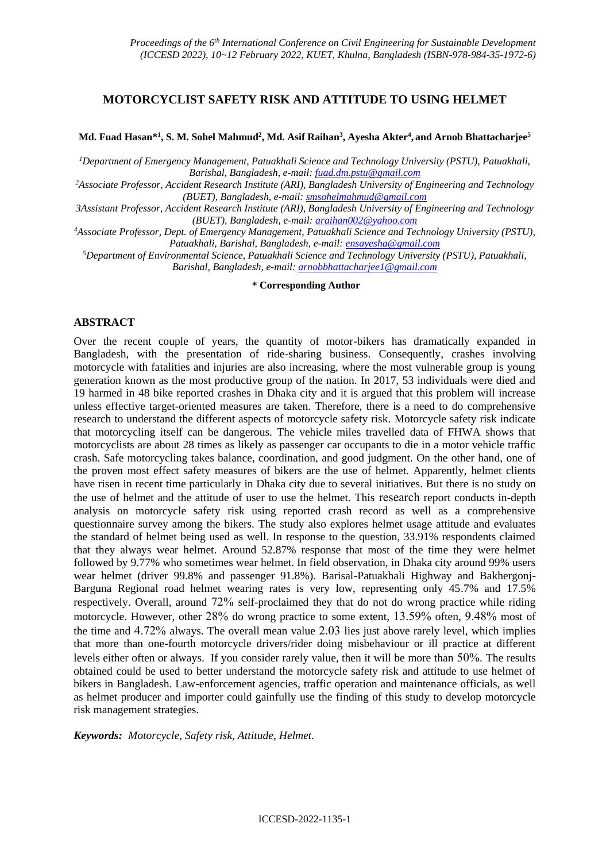# **MOTORCYCLIST SAFETY RISK AND ATTITUDE TO USING HELMET**

### **Md. Fuad Hasan\* 1 , S. M. Sohel Mahmud<sup>2</sup> , Md. Asif Raihan<sup>3</sup> , Ayesha Akter<sup>4</sup> , and Arnob Bhattacharjee<sup>5</sup>**

*<sup>1</sup>Department of Emergency Management, Patuakhali Science and Technology University (PSTU), Patuakhali, Barishal, Bangladesh, e-mail: [fuad.dm.pstu@gmail.com](mailto:fuad.dm.pstu@gmail.com)*

*<sup>2</sup>Associate Professor, Accident Research Institute (ARI), Bangladesh University of Engineering and Technology (BUET), Bangladesh, e-mail: [smsohelmahmud@gmail.com](mailto:smsohelmahmud@gmail.com)*

*3Assistant Professor, Accident Research Institute (ARI), Bangladesh University of Engineering and Technology (BUET), Bangladesh, e-mail: araihan002@yahoo.com*

*<sup>4</sup>Associate Professor, Dept. of Emergency Management, Patuakhali Science and Technology University (PSTU), Patuakhali, Barishal, Bangladesh, e-mail: ensayesha@gmail.com*

*<sup>5</sup>Department of Environmental Science, Patuakhali Science and Technology University (PSTU), Patuakhali, Barishal, Bangladesh, e-mail[: arnobbhattacharjee1@gmail.com](mailto:arnobbhattacharjee1@gmail.com)*

#### **\* Corresponding Author**

### **ABSTRACT**

Over the recent couple of years, the quantity of motor-bikers has dramatically expanded in Bangladesh, with the presentation of ride-sharing business. Consequently, crashes involving motorcycle with fatalities and injuries are also increasing, where the most vulnerable group is young generation known as the most productive group of the nation. In 2017, 53 individuals were died and 19 harmed in 48 bike reported crashes in Dhaka city and it is argued that this problem will increase unless effective target-oriented measures are taken. Therefore, there is a need to do comprehensive research to understand the different aspects of motorcycle safety risk. Motorcycle safety risk indicate that motorcycling itself can be dangerous. The vehicle miles travelled data of FHWA shows that motorcyclists are about 28 times as likely as passenger car occupants to die in a motor vehicle traffic crash. Safe motorcycling takes balance, coordination, and good judgment. On the other hand, one of the proven most effect safety measures of bikers are the use of helmet. Apparently, helmet clients have risen in recent time particularly in Dhaka city due to several initiatives. But there is no study on the use of helmet and the attitude of user to use the helmet. This research report conducts in-depth analysis on motorcycle safety risk using reported crash record as well as a comprehensive questionnaire survey among the bikers. The study also explores helmet usage attitude and evaluates the standard of helmet being used as well. In response to the question, 33.91% respondents claimed that they always wear helmet. Around 52.87% response that most of the time they were helmet followed by 9.77% who sometimes wear helmet. In field observation, in Dhaka city around 99% users wear helmet (driver 99.8% and passenger 91.8%). Barisal-Patuakhali Highway and Bakhergonj-Barguna Regional road helmet wearing rates is very low, representing only 45.7% and 17.5% respectively. Overall, around 72% self-proclaimed they that do not do wrong practice while riding motorcycle. However, other 28% do wrong practice to some extent, 13.59% often, 9.48% most of the time and 4.72% always. The overall mean value 2.03 lies just above rarely level, which implies that more than one-fourth motorcycle drivers/rider doing misbehaviour or ill practice at different levels either often or always. If you consider rarely value, then it will be more than 50%. The results obtained could be used to better understand the motorcycle safety risk and attitude to use helmet of bikers in Bangladesh. Law-enforcement agencies, traffic operation and maintenance officials, as well as helmet producer and importer could gainfully use the finding of this study to develop motorcycle risk management strategies.

*Keywords: Motorcycle, Safety risk, Attitude, Helmet.*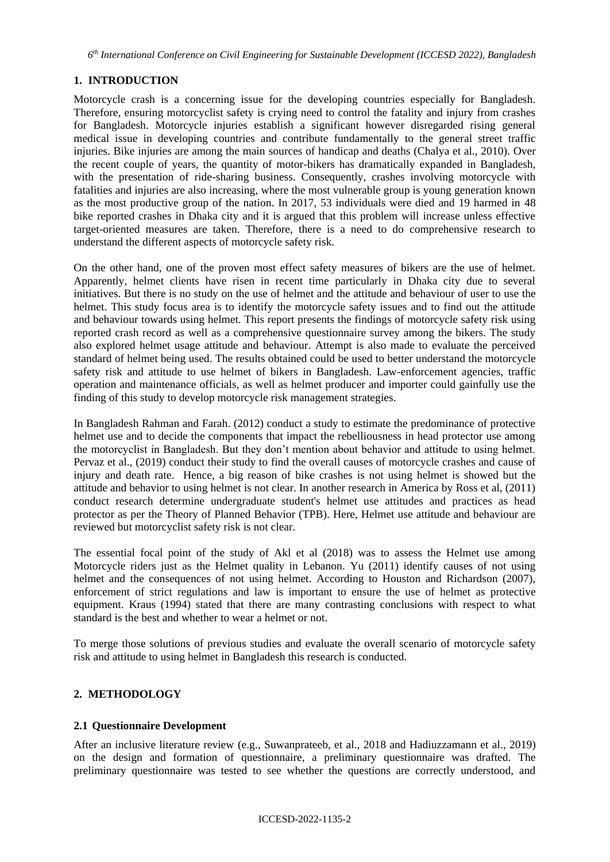*6 th International Conference on Civil Engineering for Sustainable Development (ICCESD 2022), Bangladesh*

# **1. INTRODUCTION**

Motorcycle crash is a concerning issue for the developing countries especially for Bangladesh. Therefore, ensuring motorcyclist safety is crying need to control the fatality and injury from crashes for Bangladesh. Motorcycle injuries establish a significant however disregarded rising general medical issue in developing countries and contribute fundamentally to the general street traffic injuries. Bike injuries are among the main sources of handicap and deaths (Chalya et al., 2010). Over the recent couple of years, the quantity of motor-bikers has dramatically expanded in Bangladesh, with the presentation of ride-sharing business. Consequently, crashes involving motorcycle with fatalities and injuries are also increasing, where the most vulnerable group is young generation known as the most productive group of the nation. In 2017, 53 individuals were died and 19 harmed in 48 bike reported crashes in Dhaka city and it is argued that this problem will increase unless effective target-oriented measures are taken. Therefore, there is a need to do comprehensive research to understand the different aspects of motorcycle safety risk.

On the other hand, one of the proven most effect safety measures of bikers are the use of helmet. Apparently, helmet clients have risen in recent time particularly in Dhaka city due to several initiatives. But there is no study on the use of helmet and the attitude and behaviour of user to use the helmet. This study focus area is to identify the motorcycle safety issues and to find out the attitude and behaviour towards using helmet. This report presents the findings of motorcycle safety risk using reported crash record as well as a comprehensive questionnaire survey among the bikers. The study also explored helmet usage attitude and behaviour. Attempt is also made to evaluate the perceived standard of helmet being used. The results obtained could be used to better understand the motorcycle safety risk and attitude to use helmet of bikers in Bangladesh. Law-enforcement agencies, traffic operation and maintenance officials, as well as helmet producer and importer could gainfully use the finding of this study to develop motorcycle risk management strategies.

In Bangladesh Rahman and Farah. (2012) conduct a study to estimate the predominance of protective helmet use and to decide the components that impact the rebelliousness in head protector use among the motorcyclist in Bangladesh. But they don't mention about behavior and attitude to using helmet. Pervaz et al., (2019) conduct their study to find the overall causes of motorcycle crashes and cause of injury and death rate. Hence, a big reason of bike crashes is not using helmet is showed but the attitude and behavior to using helmet is not clear. In another research in America by Ross et al, (2011) conduct research determine undergraduate student's helmet use attitudes and practices as head protector as per the Theory of Planned Behavior (TPB). Here, Helmet use attitude and behaviour are reviewed but motorcyclist safety risk is not clear.

The essential focal point of the study of Akl et al (2018) was to assess the Helmet use among Motorcycle riders just as the Helmet quality in Lebanon. Yu (2011) identify causes of not using helmet and the consequences of not using helmet. According to Houston and Richardson (2007), enforcement of strict regulations and law is important to ensure the use of helmet as protective equipment. Kraus (1994) stated that there are many contrasting conclusions with respect to what standard is the best and whether to wear a helmet or not.

To merge those solutions of previous studies and evaluate the overall scenario of motorcycle safety risk and attitude to using helmet in Bangladesh this research is conducted.

# **2. METHODOLOGY**

### **2.1 Questionnaire Development**

After an inclusive literature review (e.g., Suwanprateeb, et al., 2018 and Hadiuzzamann et al., 2019) on the design and formation of questionnaire, a preliminary questionnaire was drafted. The preliminary questionnaire was tested to see whether the questions are correctly understood, and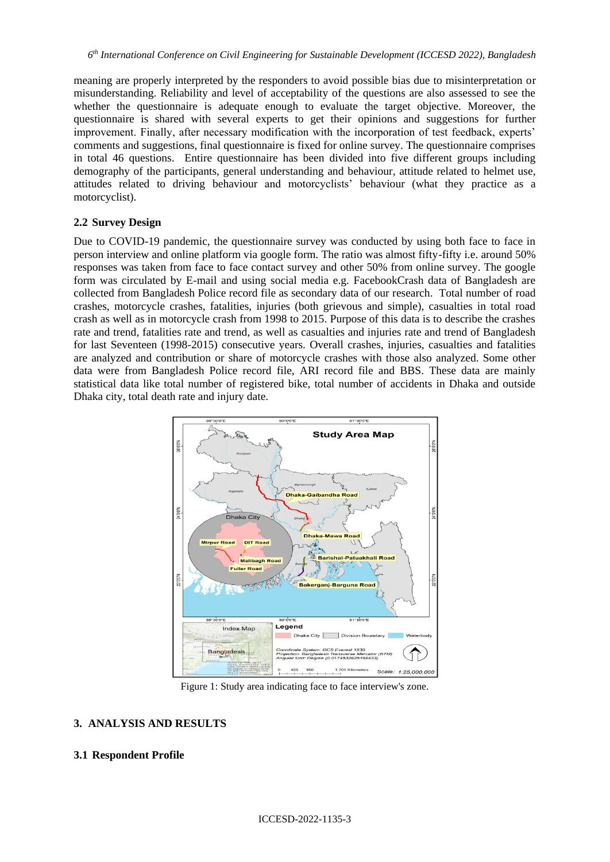meaning are properly interpreted by the responders to avoid possible bias due to misinterpretation or misunderstanding. Reliability and level of acceptability of the questions are also assessed to see the whether the questionnaire is adequate enough to evaluate the target objective. Moreover, the questionnaire is shared with several experts to get their opinions and suggestions for further improvement. Finally, after necessary modification with the incorporation of test feedback, experts' comments and suggestions, final questionnaire is fixed for online survey. The questionnaire comprises in total 46 questions. Entire questionnaire has been divided into five different groups including demography of the participants, general understanding and behaviour, attitude related to helmet use, attitudes related to driving behaviour and motorcyclists' behaviour (what they practice as a motorcyclist).

### **2.2 Survey Design**

Due to COVID-19 pandemic, the questionnaire survey was conducted by using both face to face in person interview and online platform via google form. The ratio was almost fifty-fifty i.e. around 50% responses was taken from face to face contact survey and other 50% from online survey. The google form was circulated by E-mail and using social media e.g. FacebookCrash data of Bangladesh are collected from Bangladesh Police record file as secondary data of our research. Total number of road crashes, motorcycle crashes, fatalities, injuries (both grievous and simple), casualties in total road crash as well as in motorcycle crash from 1998 to 2015. Purpose of this data is to describe the crashes rate and trend, fatalities rate and trend, as well as casualties and injuries rate and trend of Bangladesh for last Seventeen (1998-2015) consecutive years. Overall crashes, injuries, casualties and fatalities are analyzed and contribution or share of motorcycle crashes with those also analyzed. Some other data were from Bangladesh Police record file, ARI record file and BBS. These data are mainly statistical data like total number of registered bike, total number of accidents in Dhaka and outside Dhaka city, total death rate and injury date.



Figure 1: Study area indicating face to face interview's zone.

### **3. ANALYSIS AND RESULTS**

#### **3.1 Respondent Profile**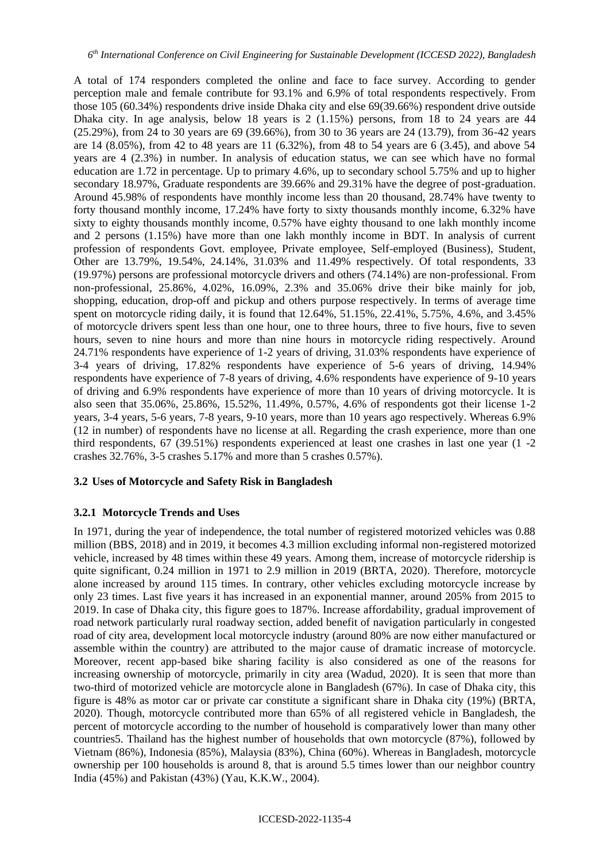A total of 174 responders completed the online and face to face survey. According to gender perception male and female contribute for 93.1% and 6.9% of total respondents respectively. From those 105 (60.34%) respondents drive inside Dhaka city and else 69(39.66%) respondent drive outside Dhaka city. In age analysis, below 18 years is 2 (1.15%) persons, from 18 to 24 years are 44 (25.29%), from 24 to 30 years are 69 (39.66%), from 30 to 36 years are 24 (13.79), from 36-42 years are 14 (8.05%), from 42 to 48 years are 11 (6.32%), from 48 to 54 years are 6 (3.45), and above 54 years are 4 (2.3%) in number. In analysis of education status, we can see which have no formal education are 1.72 in percentage. Up to primary 4.6%, up to secondary school 5.75% and up to higher secondary 18.97%, Graduate respondents are 39.66% and 29.31% have the degree of post-graduation. Around 45.98% of respondents have monthly income less than 20 thousand, 28.74% have twenty to forty thousand monthly income, 17.24% have forty to sixty thousands monthly income, 6.32% have sixty to eighty thousands monthly income, 0.57% have eighty thousand to one lakh monthly income and 2 persons (1.15%) have more than one lakh monthly income in BDT. In analysis of current profession of respondents Govt. employee, Private employee, Self-employed (Business), Student, Other are 13.79%, 19.54%, 24.14%, 31.03% and 11.49% respectively. Of total respondents, 33 (19.97%) persons are professional motorcycle drivers and others (74.14%) are non-professional. From non-professional, 25.86%, 4.02%, 16.09%, 2.3% and 35.06% drive their bike mainly for job, shopping, education, drop-off and pickup and others purpose respectively. In terms of average time spent on motorcycle riding daily, it is found that 12.64%, 51.15%, 22.41%, 5.75%, 4.6%, and 3.45% of motorcycle drivers spent less than one hour, one to three hours, three to five hours, five to seven hours, seven to nine hours and more than nine hours in motorcycle riding respectively. Around 24.71% respondents have experience of 1-2 years of driving, 31.03% respondents have experience of 3-4 years of driving, 17.82% respondents have experience of 5-6 years of driving, 14.94% respondents have experience of 7-8 years of driving, 4.6% respondents have experience of 9-10 years of driving and 6.9% respondents have experience of more than 10 years of driving motorcycle. It is also seen that 35.06%, 25.86%, 15.52%, 11.49%, 0.57%, 4.6% of respondents got their license 1-2 years, 3-4 years, 5-6 years, 7-8 years, 9-10 years, more than 10 years ago respectively. Whereas 6.9% (12 in number) of respondents have no license at all. Regarding the crash experience, more than one third respondents, 67 (39.51%) respondents experienced at least one crashes in last one year (1 -2 crashes 32.76%, 3-5 crashes 5.17% and more than 5 crashes 0.57%).

### **3.2 Uses of Motorcycle and Safety Risk in Bangladesh**

### **3.2.1 Motorcycle Trends and Uses**

In 1971, during the year of independence, the total number of registered motorized vehicles was 0.88 million (BBS, 2018) and in 2019, it becomes 4.3 million excluding informal non-registered motorized vehicle, increased by 48 times within these 49 years. Among them, increase of motorcycle ridership is quite significant, 0.24 million in 1971 to 2.9 million in 2019 (BRTA, 2020). Therefore, motorcycle alone increased by around 115 times. In contrary, other vehicles excluding motorcycle increase by only 23 times. Last five years it has increased in an exponential manner, around 205% from 2015 to 2019. In case of Dhaka city, this figure goes to 187%. Increase affordability, gradual improvement of road network particularly rural roadway section, added benefit of navigation particularly in congested road of city area, development local motorcycle industry (around 80% are now either manufactured or assemble within the country) are attributed to the major cause of dramatic increase of motorcycle. Moreover, recent app-based bike sharing facility is also considered as one of the reasons for increasing ownership of motorcycle, primarily in city area (Wadud, 2020). It is seen that more than two-third of motorized vehicle are motorcycle alone in Bangladesh (67%). In case of Dhaka city, this figure is 48% as motor car or private car constitute a significant share in Dhaka city (19%) (BRTA, 2020). Though, motorcycle contributed more than 65% of all registered vehicle in Bangladesh, the percent of motorcycle according to the number of household is comparatively lower than many other countries5. Thailand has the highest number of households that own motorcycle (87%), followed by Vietnam (86%), Indonesia (85%), Malaysia (83%), China (60%). Whereas in Bangladesh, motorcycle ownership per 100 households is around 8, that is around 5.5 times lower than our neighbor country India (45%) and Pakistan (43%) (Yau, K.K.W., 2004).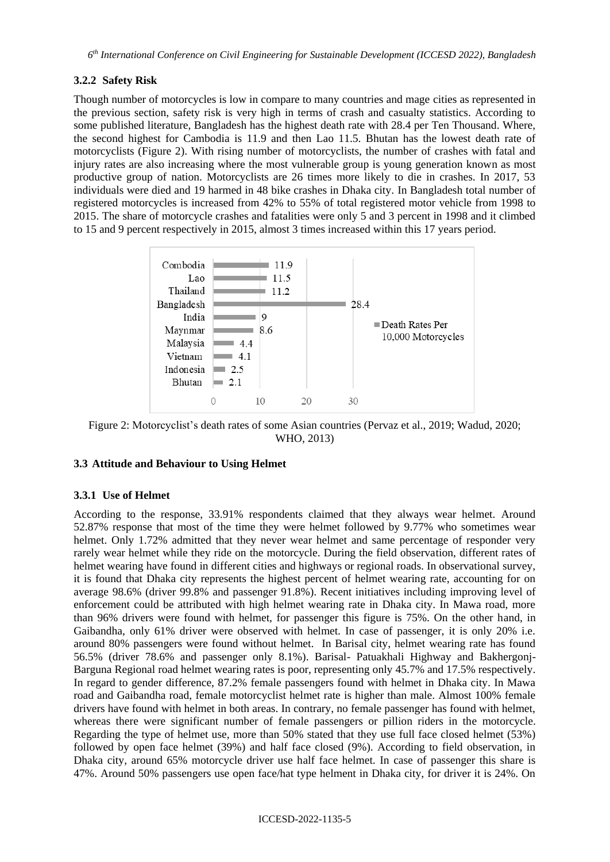### **3.2.2 Safety Risk**

Though number of motorcycles is low in compare to many countries and mage cities as represented in the previous section, safety risk is very high in terms of crash and casualty statistics. According to some published literature, Bangladesh has the highest death rate with 28.4 per Ten Thousand. Where, the second highest for Cambodia is 11.9 and then Lao 11.5. Bhutan has the lowest death rate of motorcyclists (Figure 2). With rising number of motorcyclists, the number of crashes with fatal and injury rates are also increasing where the most vulnerable group is young generation known as most productive group of nation. Motorcyclists are 26 times more likely to die in crashes. In 2017, 53 individuals were died and 19 harmed in 48 bike crashes in Dhaka city. In Bangladesh total number of registered motorcycles is increased from 42% to 55% of total registered motor vehicle from 1998 to 2015. The share of motorcycle crashes and fatalities were only 5 and 3 percent in 1998 and it climbed to 15 and 9 percent respectively in 2015, almost 3 times increased within this 17 years period.



Figure 2: Motorcyclist's death rates of some Asian countries (Pervaz et al., 2019; Wadud, 2020; WHO, 2013)

## **3.3 Attitude and Behaviour to Using Helmet**

#### **3.3.1 Use of Helmet**

According to the response, 33.91% respondents claimed that they always wear helmet. Around 52.87% response that most of the time they were helmet followed by 9.77% who sometimes wear helmet. Only 1.72% admitted that they never wear helmet and same percentage of responder very rarely wear helmet while they ride on the motorcycle. During the field observation, different rates of helmet wearing have found in different cities and highways or regional roads. In observational survey, it is found that Dhaka city represents the highest percent of helmet wearing rate, accounting for on average 98.6% (driver 99.8% and passenger 91.8%). Recent initiatives including improving level of enforcement could be attributed with high helmet wearing rate in Dhaka city. In Mawa road, more than 96% drivers were found with helmet, for passenger this figure is 75%. On the other hand, in Gaibandha, only 61% driver were observed with helmet. In case of passenger, it is only 20% i.e. around 80% passengers were found without helmet. In Barisal city, helmet wearing rate has found 56.5% (driver 78.6% and passenger only 8.1%). Barisal- Patuakhali Highway and Bakhergonj-Barguna Regional road helmet wearing rates is poor, representing only 45.7% and 17.5% respectively. In regard to gender difference, 87.2% female passengers found with helmet in Dhaka city. In Mawa road and Gaibandha road, female motorcyclist helmet rate is higher than male. Almost 100% female drivers have found with helmet in both areas. In contrary, no female passenger has found with helmet, whereas there were significant number of female passengers or pillion riders in the motorcycle. Regarding the type of helmet use, more than 50% stated that they use full face closed helmet (53%) followed by open face helmet (39%) and half face closed (9%). According to field observation, in Dhaka city, around 65% motorcycle driver use half face helmet. In case of passenger this share is 47%. Around 50% passengers use open face/hat type helment in Dhaka city, for driver it is 24%. On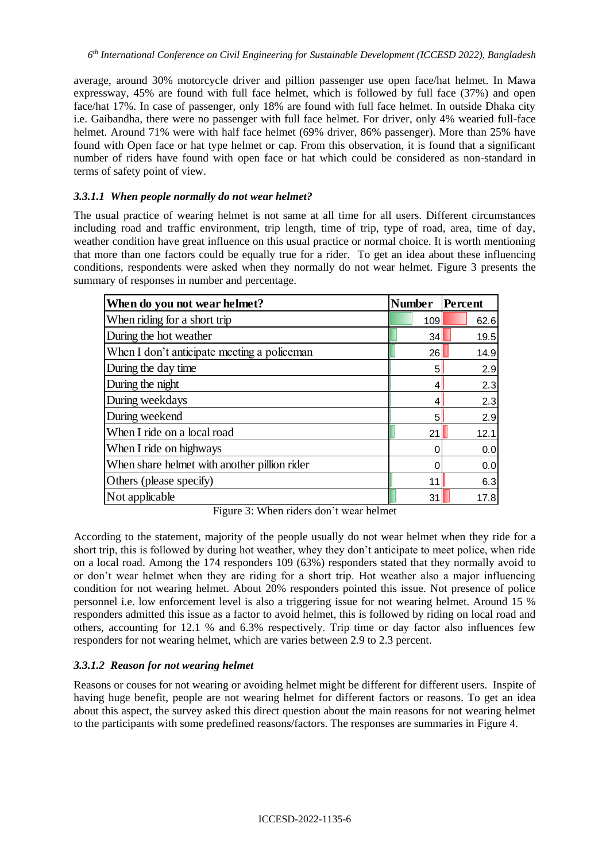average, around 30% motorcycle driver and pillion passenger use open face/hat helmet. In Mawa expressway, 45% are found with full face helmet, which is followed by full face (37%) and open face/hat 17%. In case of passenger, only 18% are found with full face helmet. In outside Dhaka city i.e. Gaibandha, there were no passenger with full face helmet. For driver, only 4% wearied full-face helmet. Around 71% were with half face helmet (69% driver, 86% passenger). More than 25% have found with Open face or hat type helmet or cap. From this observation, it is found that a significant number of riders have found with open face or hat which could be considered as non-standard in terms of safety point of view.

## *3.3.1.1 When people normally do not wear helmet?*

The usual practice of wearing helmet is not same at all time for all users. Different circumstances including road and traffic environment, trip length, time of trip, type of road, area, time of day, weather condition have great influence on this usual practice or normal choice. It is worth mentioning that more than one factors could be equally true for a rider. To get an idea about these influencing conditions, respondents were asked when they normally do not wear helmet. Figure 3 presents the summary of responses in number and percentage.

| When do you not wear helmet?                 | <b>Number</b> | Percent |  |
|----------------------------------------------|---------------|---------|--|
| When riding for a short trip                 | 109           | 62.6    |  |
| During the hot weather                       | 34            | 19.5    |  |
| When I don't anticipate meeting a policeman  | 26            | 14.9    |  |
| During the day time                          | 5             | 2.9     |  |
| During the night                             | 4             | 2.3     |  |
| During weekdays                              | 4             | 2.3     |  |
| During weekend                               | 5             | 2.9     |  |
| When I ride on a local road                  | 21            | 12.1    |  |
| When I ride on highways                      |               | 0.0     |  |
| When share helmet with another pillion rider |               | 0.0     |  |
| Others (please specify)                      | 11            | 6.3     |  |
| Not applicable                               | 31            | 17.8    |  |

Figure 3: When riders don't wear helmet

According to the statement, majority of the people usually do not wear helmet when they ride for a short trip, this is followed by during hot weather, whey they don't anticipate to meet police, when ride on a local road. Among the 174 responders 109 (63%) responders stated that they normally avoid to or don't wear helmet when they are riding for a short trip. Hot weather also a major influencing condition for not wearing helmet. About 20% responders pointed this issue. Not presence of police personnel i.e. low enforcement level is also a triggering issue for not wearing helmet. Around 15 % responders admitted this issue as a factor to avoid helmet, this is followed by riding on local road and others, accounting for 12.1 % and 6.3% respectively. Trip time or day factor also influences few responders for not wearing helmet, which are varies between 2.9 to 2.3 percent.

# *3.3.1.2 Reason for not wearing helmet*

Reasons or couses for not wearing or avoiding helmet might be different for different users. Inspite of having huge benefit, people are not wearing helmet for different factors or reasons. To get an idea about this aspect, the survey asked this direct question about the main reasons for not wearing helmet to the participants with some predefined reasons/factors. The responses are summaries in Figure 4.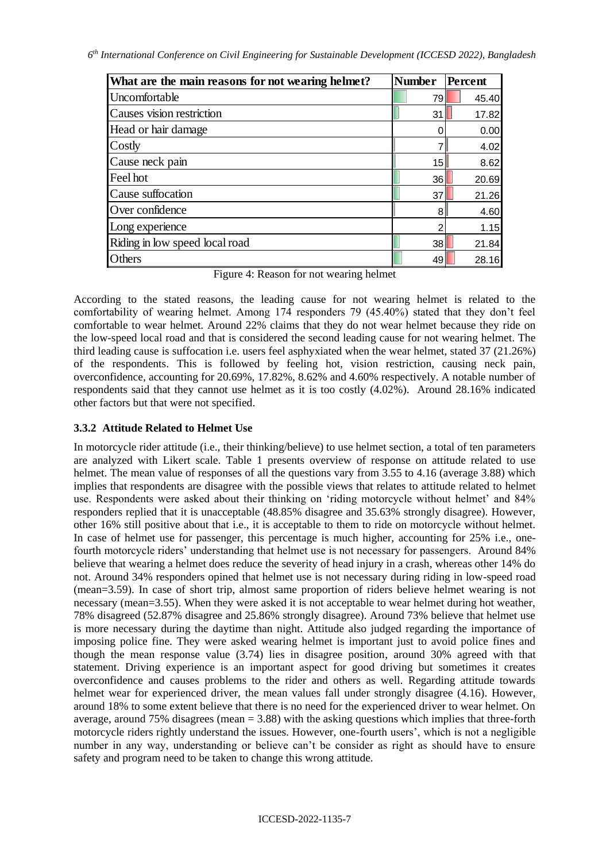*6 th International Conference on Civil Engineering for Sustainable Development (ICCESD 2022), Bangladesh*

| What are the main reasons for not wearing helmet? | <b>Number</b> | Percent |  |
|---------------------------------------------------|---------------|---------|--|
| Uncomfortable                                     | 79            | 45.40   |  |
| Causes vision restriction                         | 31            | 17.82   |  |
| Head or hair damage                               |               | 0.00    |  |
| Costly                                            |               | 4.02    |  |
| Cause neck pain                                   | 15            | 8.62    |  |
| Feel hot                                          | 36            | 20.69   |  |
| Cause suffocation                                 | 37            | 21.26   |  |
| Over confidence                                   | 8             | 4.60    |  |
| Long experience                                   | ◠             | 1.15    |  |
| Riding in low speed local road                    | 38            | 21.84   |  |
| Others                                            | 49            | 28.16   |  |

Figure 4: Reason for not wearing helmet

According to the stated reasons, the leading cause for not wearing helmet is related to the comfortability of wearing helmet. Among 174 responders 79 (45.40%) stated that they don't feel comfortable to wear helmet. Around 22% claims that they do not wear helmet because they ride on the low-speed local road and that is considered the second leading cause for not wearing helmet. The third leading cause is suffocation i.e. users feel asphyxiated when the wear helmet, stated 37 (21.26%) of the respondents. This is followed by feeling hot, vision restriction, causing neck pain, overconfidence, accounting for 20.69%, 17.82%, 8.62% and 4.60% respectively. A notable number of respondents said that they cannot use helmet as it is too costly (4.02%). Around 28.16% indicated other factors but that were not specified.

# **3.3.2 Attitude Related to Helmet Use**

In motorcycle rider attitude (i.e., their thinking/believe) to use helmet section, a total of ten parameters are analyzed with Likert scale. Table 1 presents overview of response on attitude related to use helmet. The mean value of responses of all the questions vary from 3.55 to 4.16 (average 3.88) which implies that respondents are disagree with the possible views that relates to attitude related to helmet use. Respondents were asked about their thinking on 'riding motorcycle without helmet' and 84% responders replied that it is unacceptable (48.85% disagree and 35.63% strongly disagree). However, other 16% still positive about that i.e., it is acceptable to them to ride on motorcycle without helmet. In case of helmet use for passenger, this percentage is much higher, accounting for 25% i.e., onefourth motorcycle riders' understanding that helmet use is not necessary for passengers. Around 84% believe that wearing a helmet does reduce the severity of head injury in a crash, whereas other 14% do not. Around 34% responders opined that helmet use is not necessary during riding in low-speed road (mean=3.59). In case of short trip, almost same proportion of riders believe helmet wearing is not necessary (mean=3.55). When they were asked it is not acceptable to wear helmet during hot weather, 78% disagreed (52.87% disagree and 25.86% strongly disagree). Around 73% believe that helmet use is more necessary during the daytime than night. Attitude also judged regarding the importance of imposing police fine. They were asked wearing helmet is important just to avoid police fines and though the mean response value (3.74) lies in disagree position, around 30% agreed with that statement. Driving experience is an important aspect for good driving but sometimes it creates overconfidence and causes problems to the rider and others as well. Regarding attitude towards helmet wear for experienced driver, the mean values fall under strongly disagree (4.16). However, around 18% to some extent believe that there is no need for the experienced driver to wear helmet. On average, around 75% disagrees (mean = 3.88) with the asking questions which implies that three-forth motorcycle riders rightly understand the issues. However, one-fourth users', which is not a negligible number in any way, understanding or believe can't be consider as right as should have to ensure safety and program need to be taken to change this wrong attitude.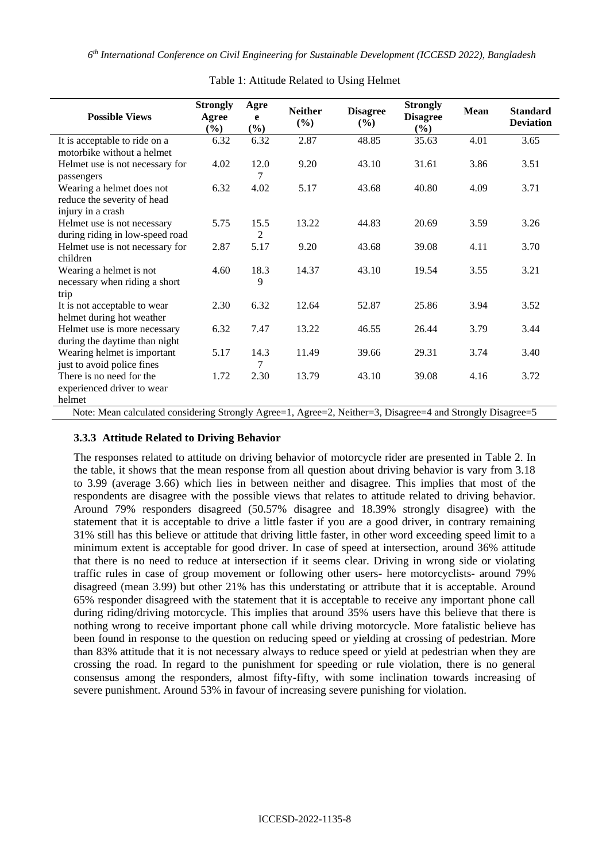| <b>Possible Views</b>                                                                                                      | <b>Strongly</b><br>Agree<br>$(\%)$ | Agre<br>e<br>$(\%)$   | <b>Neither</b><br>$(\%)$ | <b>Disagree</b><br>$(\%)$ | <b>Strongly</b><br><b>Disagree</b><br>(%) | <b>Mean</b> | <b>Standard</b><br><b>Deviation</b> |  |
|----------------------------------------------------------------------------------------------------------------------------|------------------------------------|-----------------------|--------------------------|---------------------------|-------------------------------------------|-------------|-------------------------------------|--|
| It is acceptable to ride on a<br>motorbike without a helmet                                                                | 6.32                               | 6.32                  | 2.87                     | 48.85                     | 35.63                                     | 4.01        | 3.65                                |  |
| Helmet use is not necessary for<br>passengers                                                                              | 4.02                               | 12.0<br>7             | 9.20                     | 43.10                     | 31.61                                     | 3.86        | 3.51                                |  |
| Wearing a helmet does not<br>reduce the severity of head<br>injury in a crash                                              | 6.32                               | 4.02                  | 5.17                     | 43.68                     | 40.80                                     | 4.09        | 3.71                                |  |
| Helmet use is not necessary<br>during riding in low-speed road                                                             | 5.75                               | 15.5<br>$\mathcal{L}$ | 13.22                    | 44.83                     | 20.69                                     | 3.59        | 3.26                                |  |
| Helmet use is not necessary for<br>children                                                                                | 2.87                               | 5.17                  | 9.20                     | 43.68                     | 39.08                                     | 4.11        | 3.70                                |  |
| Wearing a helmet is not<br>necessary when riding a short<br>trip                                                           | 4.60                               | 18.3<br>9             | 14.37                    | 43.10                     | 19.54                                     | 3.55        | 3.21                                |  |
| It is not acceptable to wear<br>helmet during hot weather                                                                  | 2.30                               | 6.32                  | 12.64                    | 52.87                     | 25.86                                     | 3.94        | 3.52                                |  |
| Helmet use is more necessary<br>during the daytime than night                                                              | 6.32                               | 7.47                  | 13.22                    | 46.55                     | 26.44                                     | 3.79        | 3.44                                |  |
| Wearing helmet is important<br>just to avoid police fines                                                                  | 5.17                               | 14.3<br>7             | 11.49                    | 39.66                     | 29.31                                     | 3.74        | 3.40                                |  |
| There is no need for the<br>experienced driver to wear<br>helmet                                                           | 1.72                               | 2.30                  | 13.79                    | 43.10                     | 39.08                                     | 4.16        | 3.72                                |  |
| Note: Mean calculated considering Strongly $\Delta$ gree-1, $\Delta$ gree-2, Neither-3, Disagree-4 and Strongly Disagree-5 |                                    |                       |                          |                           |                                           |             |                                     |  |

### Table 1: Attitude Related to Using Helmet

#### Note: Mean calculated considering Strongly Agree=1, Agree=2, Neither=3, Disagree=4 and Strongly Disagree=5

### **3.3.3 Attitude Related to Driving Behavior**

The responses related to attitude on driving behavior of motorcycle rider are presented in Table 2. In the table, it shows that the mean response from all question about driving behavior is vary from 3.18 to 3.99 (average 3.66) which lies in between neither and disagree. This implies that most of the respondents are disagree with the possible views that relates to attitude related to driving behavior. Around 79% responders disagreed (50.57% disagree and 18.39% strongly disagree) with the statement that it is acceptable to drive a little faster if you are a good driver, in contrary remaining 31% still has this believe or attitude that driving little faster, in other word exceeding speed limit to a minimum extent is acceptable for good driver. In case of speed at intersection, around 36% attitude that there is no need to reduce at intersection if it seems clear. Driving in wrong side or violating traffic rules in case of group movement or following other users- here motorcyclists- around 79% disagreed (mean 3.99) but other 21% has this understating or attribute that it is acceptable. Around 65% responder disagreed with the statement that it is acceptable to receive any important phone call during riding/driving motorcycle. This implies that around 35% users have this believe that there is nothing wrong to receive important phone call while driving motorcycle. More fatalistic believe has been found in response to the question on reducing speed or yielding at crossing of pedestrian. More than 83% attitude that it is not necessary always to reduce speed or yield at pedestrian when they are crossing the road. In regard to the punishment for speeding or rule violation, there is no general consensus among the responders, almost fifty-fifty, with some inclination towards increasing of severe punishment. Around 53% in favour of increasing severe punishing for violation.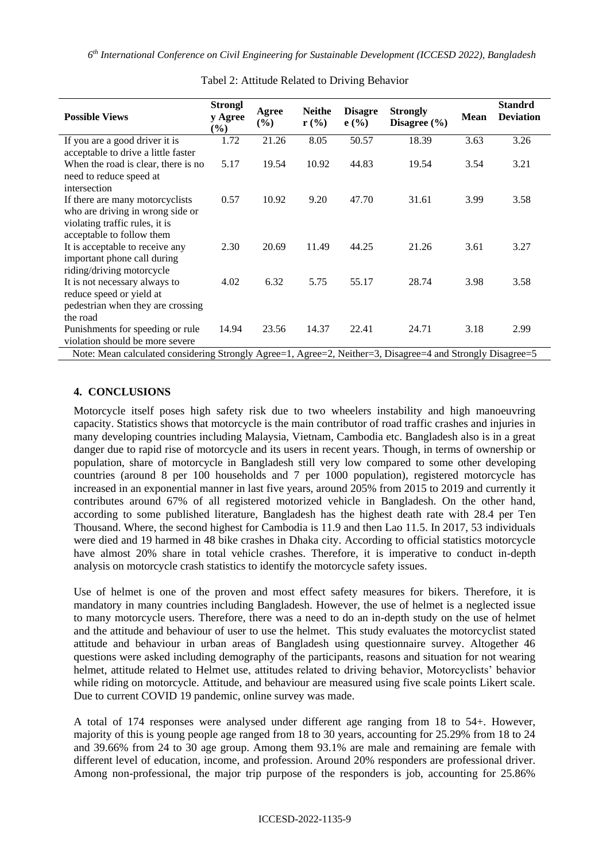*6 th International Conference on Civil Engineering for Sustainable Development (ICCESD 2022), Bangladesh*

| <b>Possible Views</b>                                                                                                              | <b>Strongl</b><br>y Agree<br>$(\%)$ | Agree<br>$(\%)$ | <b>Neithe</b><br>$r$ (%) | <b>Disagre</b><br>e(%) | <b>Strongly</b><br>Disagree $(\% )$ | Mean | <b>Standrd</b><br><b>Deviation</b> |  |
|------------------------------------------------------------------------------------------------------------------------------------|-------------------------------------|-----------------|--------------------------|------------------------|-------------------------------------|------|------------------------------------|--|
| If you are a good driver it is<br>acceptable to drive a little faster                                                              | 1.72                                | 21.26           | 8.05                     | 50.57                  | 18.39                               | 3.63 | 3.26                               |  |
| When the road is clear, there is no<br>need to reduce speed at<br>intersection                                                     | 5.17                                | 19.54           | 10.92                    | 44.83                  | 19.54                               | 3.54 | 3.21                               |  |
| If there are many motorcyclists<br>who are driving in wrong side or<br>violating traffic rules, it is<br>acceptable to follow them | 0.57                                | 10.92           | 9.20                     | 47.70                  | 31.61                               | 3.99 | 3.58                               |  |
| It is acceptable to receive any<br>important phone call during<br>riding/driving motorcycle                                        | 2.30                                | 20.69           | 11.49                    | 44.25                  | 21.26                               | 3.61 | 3.27                               |  |
| It is not necessary always to<br>reduce speed or yield at<br>pedestrian when they are crossing<br>the road                         | 4.02                                | 6.32            | 5.75                     | 55.17                  | 28.74                               | 3.98 | 3.58                               |  |
| Punishments for speeding or rule<br>violation should be more severe                                                                | 14.94                               | 23.56           | 14.37                    | 22.41                  | 24.71                               | 3.18 | 2.99                               |  |
| Note: Mean calculated considering Strongly Agree=1, Agree=2, Neither=3, Disagree=4 and Strongly Disagree=5                         |                                     |                 |                          |                        |                                     |      |                                    |  |

Tabel 2: Attitude Related to Driving Behavior

## **4. CONCLUSIONS**

Motorcycle itself poses high safety risk due to two wheelers instability and high manoeuvring capacity. Statistics shows that motorcycle is the main contributor of road traffic crashes and injuries in many developing countries including Malaysia, Vietnam, Cambodia etc. Bangladesh also is in a great danger due to rapid rise of motorcycle and its users in recent years. Though, in terms of ownership or population, share of motorcycle in Bangladesh still very low compared to some other developing countries (around 8 per 100 households and 7 per 1000 population), registered motorcycle has increased in an exponential manner in last five years, around 205% from 2015 to 2019 and currently it contributes around 67% of all registered motorized vehicle in Bangladesh. On the other hand, according to some published literature, Bangladesh has the highest death rate with 28.4 per Ten Thousand. Where, the second highest for Cambodia is 11.9 and then Lao 11.5. In 2017, 53 individuals were died and 19 harmed in 48 bike crashes in Dhaka city. According to official statistics motorcycle have almost 20% share in total vehicle crashes. Therefore, it is imperative to conduct in-depth analysis on motorcycle crash statistics to identify the motorcycle safety issues.

Use of helmet is one of the proven and most effect safety measures for bikers. Therefore, it is mandatory in many countries including Bangladesh. However, the use of helmet is a neglected issue to many motorcycle users. Therefore, there was a need to do an in-depth study on the use of helmet and the attitude and behaviour of user to use the helmet. This study evaluates the motorcyclist stated attitude and behaviour in urban areas of Bangladesh using questionnaire survey. Altogether 46 questions were asked including demography of the participants, reasons and situation for not wearing helmet, attitude related to Helmet use, attitudes related to driving behavior, Motorcyclists' behavior while riding on motorcycle. Attitude, and behaviour are measured using five scale points Likert scale. Due to current COVID 19 pandemic, online survey was made.

A total of 174 responses were analysed under different age ranging from 18 to 54+. However, majority of this is young people age ranged from 18 to 30 years, accounting for 25.29% from 18 to 24 and 39.66% from 24 to 30 age group. Among them 93.1% are male and remaining are female with different level of education, income, and profession. Around 20% responders are professional driver. Among non-professional, the major trip purpose of the responders is job, accounting for 25.86%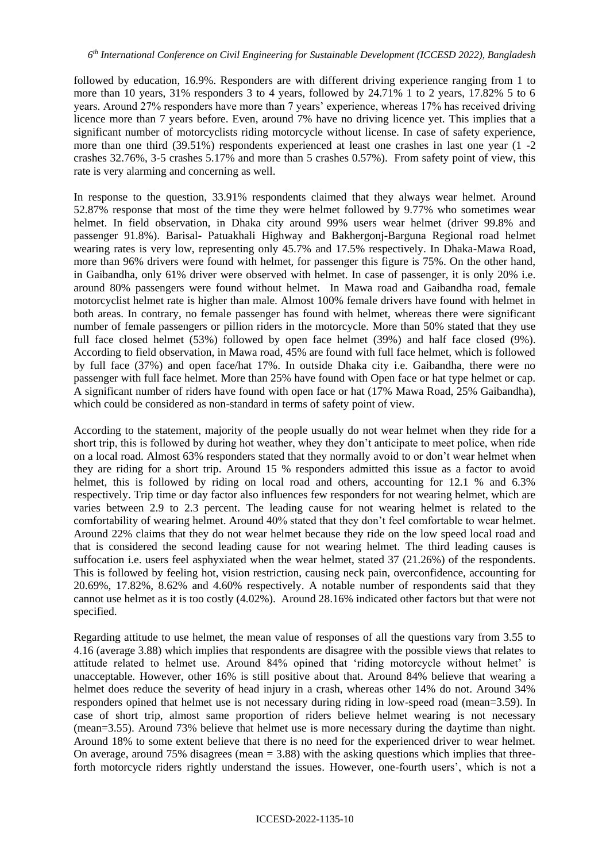followed by education, 16.9%. Responders are with different driving experience ranging from 1 to more than 10 years, 31% responders 3 to 4 years, followed by 24.71% 1 to 2 years, 17.82% 5 to 6 years. Around 27% responders have more than 7 years' experience, whereas 17% has received driving licence more than 7 years before. Even, around 7% have no driving licence yet. This implies that a significant number of motorcyclists riding motorcycle without license. In case of safety experience, more than one third (39.51%) respondents experienced at least one crashes in last one year (1 -2 crashes 32.76%, 3-5 crashes 5.17% and more than 5 crashes 0.57%). From safety point of view, this rate is very alarming and concerning as well.

In response to the question, 33.91% respondents claimed that they always wear helmet. Around 52.87% response that most of the time they were helmet followed by 9.77% who sometimes wear helmet. In field observation, in Dhaka city around 99% users wear helmet (driver 99.8% and passenger 91.8%). Barisal- Patuakhali Highway and Bakhergonj-Barguna Regional road helmet wearing rates is very low, representing only 45.7% and 17.5% respectively. In Dhaka-Mawa Road, more than 96% drivers were found with helmet, for passenger this figure is 75%. On the other hand, in Gaibandha, only 61% driver were observed with helmet. In case of passenger, it is only 20% i.e. around 80% passengers were found without helmet. In Mawa road and Gaibandha road, female motorcyclist helmet rate is higher than male. Almost 100% female drivers have found with helmet in both areas. In contrary, no female passenger has found with helmet, whereas there were significant number of female passengers or pillion riders in the motorcycle. More than 50% stated that they use full face closed helmet (53%) followed by open face helmet (39%) and half face closed (9%). According to field observation, in Mawa road, 45% are found with full face helmet, which is followed by full face (37%) and open face/hat 17%. In outside Dhaka city i.e. Gaibandha, there were no passenger with full face helmet. More than 25% have found with Open face or hat type helmet or cap. A significant number of riders have found with open face or hat (17% Mawa Road, 25% Gaibandha), which could be considered as non-standard in terms of safety point of view.

According to the statement, majority of the people usually do not wear helmet when they ride for a short trip, this is followed by during hot weather, whey they don't anticipate to meet police, when ride on a local road. Almost 63% responders stated that they normally avoid to or don't wear helmet when they are riding for a short trip. Around 15 % responders admitted this issue as a factor to avoid helmet, this is followed by riding on local road and others, accounting for 12.1 % and 6.3% respectively. Trip time or day factor also influences few responders for not wearing helmet, which are varies between 2.9 to 2.3 percent. The leading cause for not wearing helmet is related to the comfortability of wearing helmet. Around 40% stated that they don't feel comfortable to wear helmet. Around 22% claims that they do not wear helmet because they ride on the low speed local road and that is considered the second leading cause for not wearing helmet. The third leading causes is suffocation i.e. users feel asphyxiated when the wear helmet, stated 37 (21.26%) of the respondents. This is followed by feeling hot, vision restriction, causing neck pain, overconfidence, accounting for 20.69%, 17.82%, 8.62% and 4.60% respectively. A notable number of respondents said that they cannot use helmet as it is too costly (4.02%). Around 28.16% indicated other factors but that were not specified.

Regarding attitude to use helmet, the mean value of responses of all the questions vary from 3.55 to 4.16 (average 3.88) which implies that respondents are disagree with the possible views that relates to attitude related to helmet use. Around 84% opined that 'riding motorcycle without helmet' is unacceptable. However, other 16% is still positive about that. Around 84% believe that wearing a helmet does reduce the severity of head injury in a crash, whereas other 14% do not. Around 34% responders opined that helmet use is not necessary during riding in low-speed road (mean=3.59). In case of short trip, almost same proportion of riders believe helmet wearing is not necessary (mean=3.55). Around 73% believe that helmet use is more necessary during the daytime than night. Around 18% to some extent believe that there is no need for the experienced driver to wear helmet. On average, around 75% disagrees (mean  $= 3.88$ ) with the asking questions which implies that threeforth motorcycle riders rightly understand the issues. However, one-fourth users', which is not a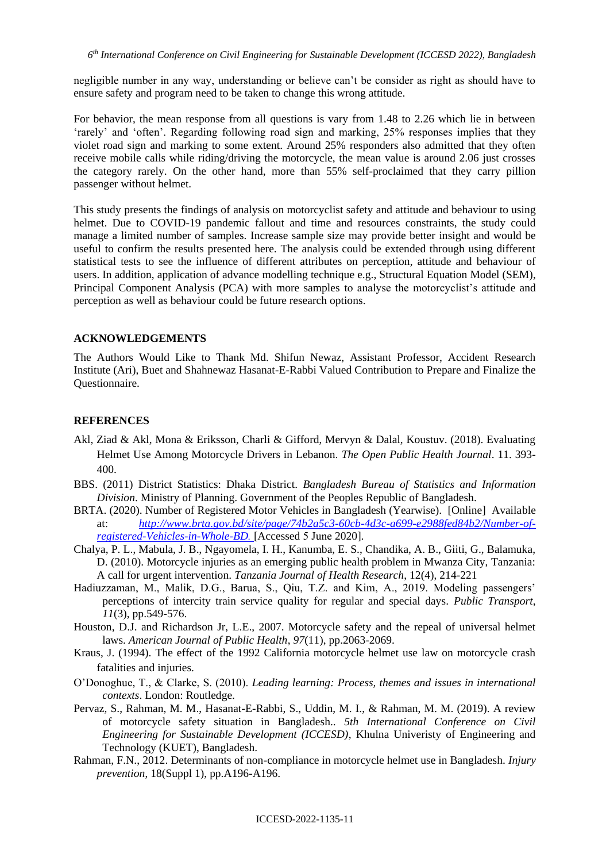negligible number in any way, understanding or believe can't be consider as right as should have to ensure safety and program need to be taken to change this wrong attitude.

For behavior, the mean response from all questions is vary from 1.48 to 2.26 which lie in between 'rarely' and 'often'. Regarding following road sign and marking, 25% responses implies that they violet road sign and marking to some extent. Around 25% responders also admitted that they often receive mobile calls while riding/driving the motorcycle, the mean value is around 2.06 just crosses the category rarely. On the other hand, more than 55% self-proclaimed that they carry pillion passenger without helmet.

This study presents the findings of analysis on motorcyclist safety and attitude and behaviour to using helmet. Due to COVID-19 pandemic fallout and time and resources constraints, the study could manage a limited number of samples. Increase sample size may provide better insight and would be useful to confirm the results presented here. The analysis could be extended through using different statistical tests to see the influence of different attributes on perception, attitude and behaviour of users. In addition, application of advance modelling technique e.g., Structural Equation Model (SEM), Principal Component Analysis (PCA) with more samples to analyse the motorcyclist's attitude and perception as well as behaviour could be future research options.

#### **ACKNOWLEDGEMENTS**

The Authors Would Like to Thank Md. Shifun Newaz, Assistant Professor, Accident Research Institute (Ari), Buet and Shahnewaz Hasanat-E-Rabbi Valued Contribution to Prepare and Finalize the Questionnaire.

### **REFERENCES**

- Akl, Ziad & Akl, Mona & Eriksson, Charli & Gifford, Mervyn & Dalal, Koustuv. (2018). Evaluating Helmet Use Among Motorcycle Drivers in Lebanon. *The Open Public Health Journal*. 11. 393- 400.
- BBS. (2011) District Statistics: Dhaka District. *Bangladesh Bureau of Statistics and Information Division*. Ministry of Planning. Government of the Peoples Republic of Bangladesh.
- BRTA. (2020). Number of Registered Motor Vehicles in Bangladesh (Yearwise). [Online] Available at: *[http://www.brta.gov.bd/site/page/74b2a5c3-60cb-4d3c-a699-e2988fed84b2/Number-of](http://www.brta.gov.bd/site/page/74b2a5c3-60cb-4d3c-a699-e2988fed84b2/Number-of-registered-Vehicles-in-Whole-BD)[registered-Vehicles-in-Whole-BD.](http://www.brta.gov.bd/site/page/74b2a5c3-60cb-4d3c-a699-e2988fed84b2/Number-of-registered-Vehicles-in-Whole-BD)* [Accessed 5 June 2020].
- Chalya, P. L., Mabula, J. B., Ngayomela, I. H., Kanumba, E. S., Chandika, A. B., Giiti, G., Balamuka, D. (2010). Motorcycle injuries as an emerging public health problem in Mwanza City, Tanzania: A call for urgent intervention. *Tanzania Journal of Health Research*, 12(4), 214-221
- Hadiuzzaman, M., Malik, D.G., Barua, S., Qiu, T.Z. and Kim, A., 2019. Modeling passengers' perceptions of intercity train service quality for regular and special days. *Public Transport*, *11*(3), pp.549-576.
- Houston, D.J. and Richardson Jr, L.E., 2007. Motorcycle safety and the repeal of universal helmet laws. *American Journal of Public Health*, *97*(11), pp.2063-2069.
- Kraus, J. (1994). The effect of the 1992 California motorcycle helmet use law on motorcycle crash fatalities and injuries.
- O'Donoghue, T., & Clarke, S. (2010). *Leading learning: Process, themes and issues in international contexts*. London: Routledge.
- Pervaz, S., Rahman, M. M., Hasanat-E-Rabbi, S., Uddin, M. I., & Rahman, M. M. (2019). A review of motorcycle safety situation in Bangladesh.. *5th International Conference on Civil Engineering for Sustainable Development (ICCESD)*, Khulna Univeristy of Engineering and Technology (KUET), Bangladesh.
- Rahman, F.N., 2012. Determinants of non-compliance in motorcycle helmet use in Bangladesh. *Injury prevention*, 18(Suppl 1), pp.A196-A196.